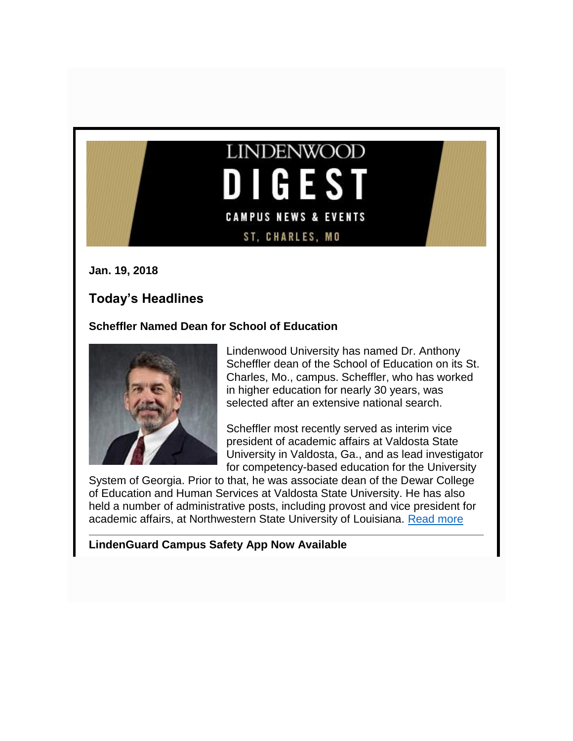# **LINDENWOOD DIGEST CAMPUS NEWS & EVENTS** ST, CHARLES, MO

**Jan. 19, 2018**

# **Today's Headlines**

**Scheffler Named Dean for School of Education**



Lindenwood University has named Dr. Anthony Scheffler dean of the School of Education on its St. Charles, Mo., campus. Scheffler, who has worked in higher education for nearly 30 years, was selected after an extensive national search.

Scheffler most recently served as interim vice president of academic affairs at Valdosta State University in Valdosta, Ga., and as lead investigator for competency-based education for the University

System of Georgia. Prior to that, he was associate dean of the Dewar College of Education and Human Services at Valdosta State University. He has also held a number of administrative posts, including provost and vice president for academic affairs, at Northwestern State University of Louisiana. [Read more](http://felix.lindenwood.edu/newsletter/2018_01/dean_soe.pdf)

**LindenGuard Campus Safety App Now Available**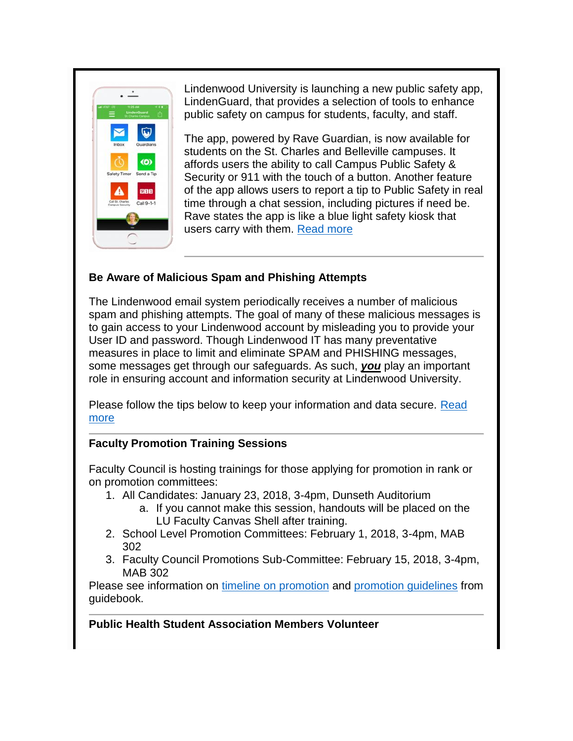

Lindenwood University is launching a new public safety app, LindenGuard, that provides a selection of tools to enhance public safety on campus for students, faculty, and staff.

The app, powered by Rave Guardian, is now available for students on the St. Charles and Belleville campuses. It affords users the ability to call Campus Public Safety & Security or 911 with the touch of a button. Another feature of the app allows users to report a tip to Public Safety in real time through a chat session, including pictures if need be. Rave states the app is like a blue light safety kiosk that users carry with them. [Read more](http://www.lindenwood.edu/about/news/details/lindenguard-campus-safety-app-now-available-2/)

### **Be Aware of Malicious Spam and Phishing Attempts**

The Lindenwood email system periodically receives a number of malicious spam and phishing attempts. The goal of many of these malicious messages is to gain access to your Lindenwood account by misleading you to provide your User ID and password. Though Lindenwood IT has many preventative measures in place to limit and eliminate SPAM and PHISHING messages, some messages get through our safeguards. As such, *you* play an important role in ensuring account and information security at Lindenwood University.

Please follow the tips below to keep your information and data secure. [Read](http://felix.lindenwood.edu/newsletter/2018_01/phishing.pdf)  [more](http://felix.lindenwood.edu/newsletter/2018_01/phishing.pdf)

## **Faculty Promotion Training Sessions**

Faculty Council is hosting trainings for those applying for promotion in rank or on promotion committees:

- 1. All Candidates: January 23, 2018, 3-4pm, Dunseth Auditorium
	- a. If you cannot make this session, handouts will be placed on the LU Faculty Canvas Shell after training.
- 2. School Level Promotion Committees: February 1, 2018, 3-4pm, MAB 302
- 3. Faculty Council Promotions Sub-Committee: February 15, 2018, 3-4pm, MAB 302

Please see information on [timeline on promotion](http://felix.lindenwood.edu/newsletter/2018_01/promotiontimeline.pdf) and [promotion guidelines](http://felix.lindenwood.edu/newsletter/2018_01/promotionguidelines.pdf) from guidebook.

## **Public Health Student Association Members Volunteer**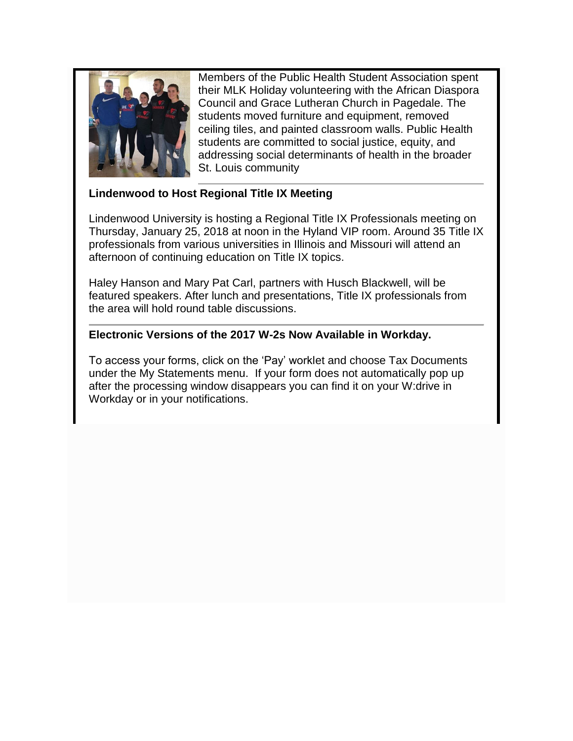

Members of the Public Health Student Association spent their MLK Holiday volunteering with the African Diaspora Council and Grace Lutheran Church in Pagedale. The students moved furniture and equipment, removed ceiling tiles, and painted classroom walls. Public Health students are committed to social justice, equity, and addressing social determinants of health in the broader St. Louis community

#### **Lindenwood to Host Regional Title IX Meeting**

Lindenwood University is hosting a Regional Title IX Professionals meeting on Thursday, January 25, 2018 at noon in the Hyland VIP room. Around 35 Title IX professionals from various universities in Illinois and Missouri will attend an afternoon of continuing education on Title IX topics.

Haley Hanson and Mary Pat Carl, partners with Husch Blackwell, will be featured speakers. After lunch and presentations, Title IX professionals from the area will hold round table discussions.

#### **Electronic Versions of the 2017 W-2s Now Available in Workday.**

To access your forms, click on the 'Pay' worklet and choose Tax Documents under the My Statements menu. If your form does not automatically pop up after the processing window disappears you can find it on your W:drive in Workday or in your notifications.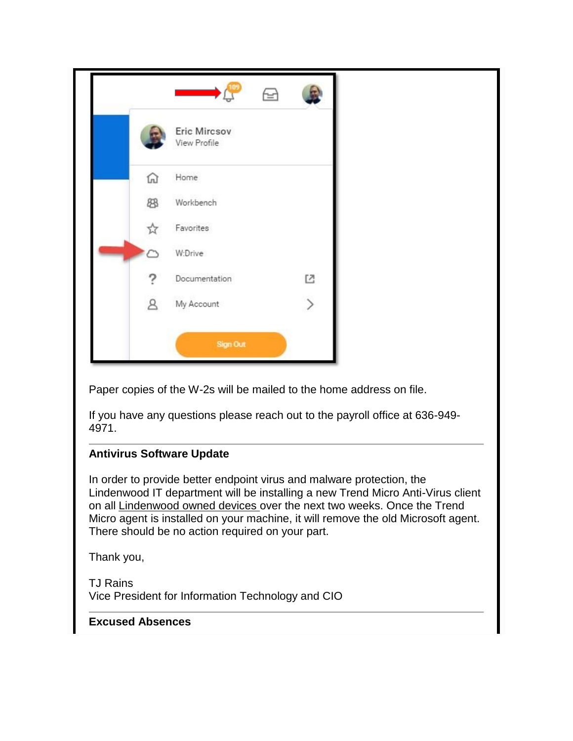|              |                              | 画 |              |
|--------------|------------------------------|---|--------------|
|              | Eric Mircsov<br>View Profile |   |              |
| ⋒            | Home                         |   |              |
| 83           | Workbench                    |   |              |
| 53           | Favorites                    |   |              |
| Ò            | W:Drive                      |   |              |
|              | Documentation                |   | $\mathbb{E}$ |
| $\mathbf{A}$ | My Account                   |   | $\,$         |
|              | Sign Out                     |   |              |

Paper copies of the W-2s will be mailed to the home address on file.

If you have any questions please reach out to the payroll office at 636-949- 4971.

#### **Antivirus Software Update**

In order to provide better endpoint virus and malware protection, the Lindenwood IT department will be installing a new Trend Micro Anti-Virus client on all Lindenwood owned devices over the next two weeks. Once the Trend Micro agent is installed on your machine, it will remove the old Microsoft agent. There should be no action required on your part.

Thank you,

TJ Rains Vice President for Information Technology and CIO

## **Excused Absences**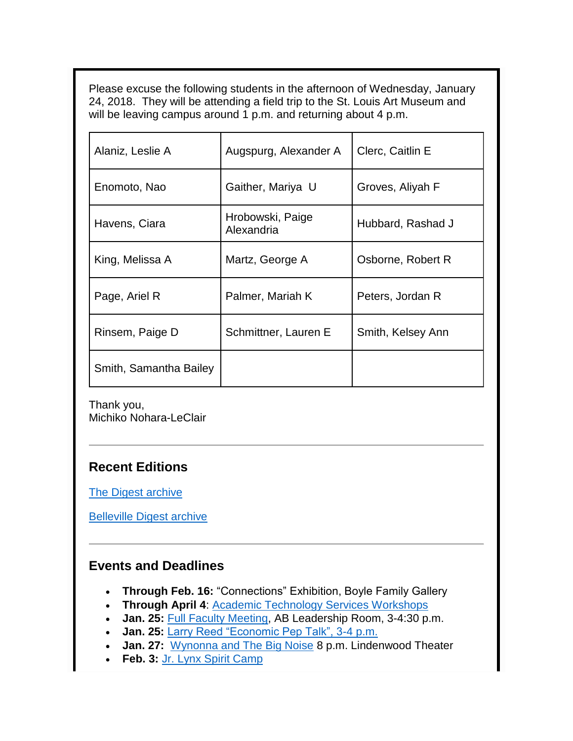Please excuse the following students in the afternoon of Wednesday, January 24, 2018. They will be attending a field trip to the St. Louis Art Museum and will be leaving campus around 1 p.m. and returning about 4 p.m.

| Alaniz, Leslie A       | Augspurg, Alexander A          | Clerc, Caitlin E  |  |
|------------------------|--------------------------------|-------------------|--|
| Enomoto, Nao           | Gaither, Mariya U              | Groves, Aliyah F  |  |
| Havens, Ciara          | Hrobowski, Paige<br>Alexandria | Hubbard, Rashad J |  |
| King, Melissa A        | Martz, George A                | Osborne, Robert R |  |
| Page, Ariel R          | Palmer, Mariah K               | Peters, Jordan R  |  |
| Rinsem, Paige D        | Schmittner, Lauren E           | Smith, Kelsey Ann |  |
| Smith, Samantha Bailey |                                |                   |  |

Thank you, Michiko Nohara-LeClair

# **Recent Editions**

[The Digest archive](http://www.lindenwood.edu/about/digest-archives/)

[Belleville Digest archive](http://www.lindenwood.edu/belleville/about/lindenwood-belleville-digest-archives/)

# **Events and Deadlines**

- **Through Feb. 16:** "Connections" Exhibition, Boyle Family Gallery
- **Through April 4: [Academic Technology Services Workshops](http://felix.lindenwood.edu/newsletter/2018_01/ats_spring_catalog.pdf)**
- **Jan. 25:** [Full Faculty Meeting,](http://felix.lindenwood.edu/newsletter/2018_01/facultymeetingagenda.pdf) AB Leadership Room, 3-4:30 p.m.
- **Jan. 25:** [Larry Reed "Economic Pep Talk", 3-4 p.m.](http://www.lindenwood.edu/academics/centers-institutes/the-hammond-institute/events/)
- **Jan. 27:** [Wynonna and The Big Noise](http://www.lindenwood.edu/j-scheidegger-center-for-the-arts/upcoming-events/main-stage-season/wynonna-january-27/) 8 p.m. Lindenwood Theater
- **Feb. 3:** [Jr. Lynx Spirit Camp](https://register.myonlinecamp.com/camp.cfm?sport=2&id=109428)